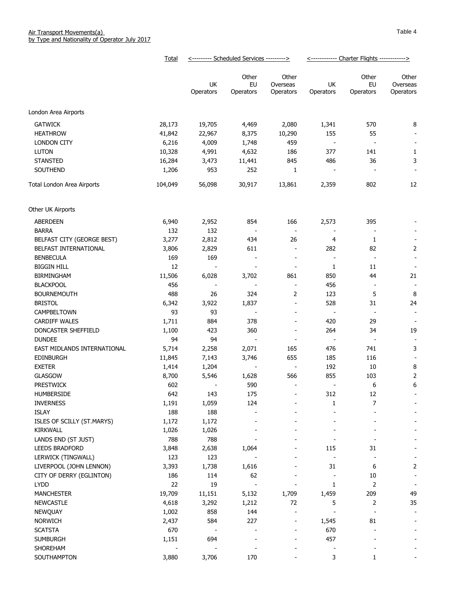|                             | Total   | <--------- Scheduled Services ---------> |                          | <------------ Charter Flights ------------> |                          |                          |                          |
|-----------------------------|---------|------------------------------------------|--------------------------|---------------------------------------------|--------------------------|--------------------------|--------------------------|
|                             |         |                                          | Other                    | Other                                       |                          | Other                    | Other                    |
|                             |         | UK                                       | EU                       | Overseas                                    | UK                       | EU                       | Overseas                 |
|                             |         | Operators                                | Operators                | Operators                                   | Operators                | Operators                | Operators                |
| London Area Airports        |         |                                          |                          |                                             |                          |                          |                          |
| <b>GATWICK</b>              | 28,173  | 19,705                                   | 4,469                    | 2,080                                       | 1,341                    | 570                      | 8                        |
| <b>HEATHROW</b>             | 41,842  | 22,967                                   | 8,375                    | 10,290                                      | 155                      | 55                       |                          |
| <b>LONDON CITY</b>          | 6,216   | 4,009                                    | 1,748                    | 459                                         | $\overline{\phantom{a}}$ |                          | $\overline{\phantom{a}}$ |
| <b>LUTON</b>                | 10,328  | 4,991                                    | 4,632                    | 186                                         | 377                      | 141                      | $\mathbf{1}$             |
| <b>STANSTED</b>             | 16,284  | 3,473                                    | 11,441                   | 845                                         | 486                      | 36                       | 3                        |
| SOUTHEND                    | 1,206   | 953                                      | 252                      | 1                                           |                          |                          |                          |
|                             |         |                                          |                          |                                             |                          |                          |                          |
| Total London Area Airports  | 104,049 | 56,098                                   | 30,917                   | 13,861                                      | 2,359                    | 802                      | 12                       |
| Other UK Airports           |         |                                          |                          |                                             |                          |                          |                          |
| <b>ABERDEEN</b>             | 6,940   | 2,952                                    | 854                      | 166                                         | 2,573                    | 395                      |                          |
| <b>BARRA</b>                | 132     | 132                                      |                          | $\blacksquare$                              |                          |                          |                          |
| BELFAST CITY (GEORGE BEST)  | 3,277   | 2,812                                    | 434                      | 26                                          | 4                        | 1                        |                          |
| BELFAST INTERNATIONAL       | 3,806   | 2,829                                    | 611                      | $\overline{\phantom{a}}$                    | 282                      | 82                       | $\overline{2}$           |
| <b>BENBECULA</b>            | 169     | 169                                      | $\frac{1}{2}$            | $\overline{\phantom{a}}$                    | $\overline{\phantom{a}}$ | $\overline{\phantom{a}}$ | $\blacksquare$           |
| <b>BIGGIN HILL</b>          | 12      |                                          |                          | $\overline{\phantom{a}}$                    | 1                        | 11                       | $\overline{\phantom{a}}$ |
| <b>BIRMINGHAM</b>           | 11,506  | 6,028                                    | 3,702                    | 861                                         | 850                      | 44                       | 21                       |
| <b>BLACKPOOL</b>            | 456     | $\blacksquare$                           |                          | $\overline{\phantom{a}}$                    | 456                      | $\overline{\phantom{a}}$ | $\overline{\phantom{a}}$ |
| <b>BOURNEMOUTH</b>          | 488     | 26                                       | 324                      | 2                                           | 123                      | 5                        | 8                        |
| <b>BRISTOL</b>              | 6,342   | 3,922                                    | 1,837                    | $\overline{\phantom{a}}$                    | 528                      | 31                       | 24                       |
| CAMPBELTOWN                 | 93      | 93                                       |                          | $\overline{\phantom{a}}$                    | $\overline{\phantom{a}}$ | $\overline{\phantom{a}}$ | $\overline{\phantom{a}}$ |
| <b>CARDIFF WALES</b>        | 1,711   | 884                                      | 378                      | $\overline{\phantom{a}}$                    | 420                      | 29                       | $\overline{\phantom{a}}$ |
| DONCASTER SHEFFIELD         | 1,100   | 423                                      | 360                      | $\overline{\phantom{a}}$                    | 264                      | 34                       | 19                       |
| <b>DUNDEE</b>               | 94      | 94                                       | $\overline{\phantom{a}}$ | $\overline{\phantom{a}}$                    | $\overline{\phantom{a}}$ | $\overline{\phantom{a}}$ |                          |
| EAST MIDLANDS INTERNATIONAL | 5,714   | 2,258                                    | 2,071                    | 165                                         | 476                      | 741                      | 3                        |
| <b>EDINBURGH</b>            | 11,845  | 7,143                                    | 3,746                    | 655                                         | 185                      | 116                      | $\overline{\phantom{a}}$ |
| <b>EXETER</b>               | 1,414   | 1,204                                    | $\overline{\phantom{a}}$ | $\overline{\phantom{a}}$                    | 192                      | 10                       | 8                        |
| <b>GLASGOW</b>              | 8,700   | 5,546                                    | 1,628                    | 566                                         | 855                      | 103                      | 2                        |
| <b>PRESTWICK</b>            | 602     |                                          | 590                      | $\overline{\phantom{a}}$                    | $\overline{\phantom{a}}$ | 6                        | 6                        |
| HUMBERSIDE                  | 642     | 143                                      | 175                      | $\overline{\phantom{0}}$                    | 312                      | 12                       |                          |
| <b>INVERNESS</b>            | 1,191   | 1,059                                    | 124                      |                                             | 1                        | 7                        |                          |
| <b>ISLAY</b>                | 188     | 188                                      |                          |                                             |                          |                          |                          |
| ISLES OF SCILLY (ST.MARYS)  | 1,172   | 1,172                                    |                          |                                             |                          |                          |                          |
| KIRKWALL                    | 1,026   | 1,026                                    |                          |                                             |                          |                          |                          |
| LANDS END (ST JUST)         | 788     | 788                                      |                          |                                             |                          |                          |                          |
| LEEDS BRADFORD              | 3,848   | 2,638                                    | 1,064                    |                                             | 115                      | 31                       |                          |
| LERWICK (TINGWALL)          | 123     | 123                                      |                          |                                             | $\overline{a}$           |                          |                          |
| LIVERPOOL (JOHN LENNON)     | 3,393   | 1,738                                    | 1,616                    |                                             | 31                       | 6                        | $\overline{2}$           |
| CITY OF DERRY (EGLINTON)    | 186     | 114                                      | 62                       |                                             | $\overline{\phantom{a}}$ | $10\,$                   | $\overline{\phantom{a}}$ |
| <b>LYDD</b>                 | 22      | 19                                       | $\blacksquare$           | $\overline{\phantom{a}}$                    | 1                        | $\mathsf{2}\,$           | $\overline{\phantom{a}}$ |
| <b>MANCHESTER</b>           | 19,709  | 11,151                                   | 5,132                    | 1,709                                       | 1,459                    | 209                      | 49                       |
| <b>NEWCASTLE</b>            | 4,618   | 3,292                                    | 1,212                    | 72                                          | 5                        | $\overline{2}$           | 35                       |
| <b>NEWQUAY</b>              | 1,002   | 858                                      | 144                      | $\overline{\phantom{a}}$                    | $\sim$                   | $\overline{\phantom{a}}$ | $\overline{\phantom{a}}$ |
| <b>NORWICH</b>              | 2,437   | 584                                      | 227                      | $\overline{a}$                              | 1,545                    | 81                       |                          |
| <b>SCATSTA</b>              | 670     |                                          |                          | $\overline{\phantom{0}}$                    | 670                      |                          |                          |
| <b>SUMBURGH</b>             | 1,151   | 694                                      |                          | $\overline{a}$                              | 457                      |                          |                          |
| SHOREHAM                    |         |                                          |                          |                                             |                          |                          |                          |
| SOUTHAMPTON                 | 3,880   | 3,706                                    | 170                      |                                             | 3                        | 1                        |                          |